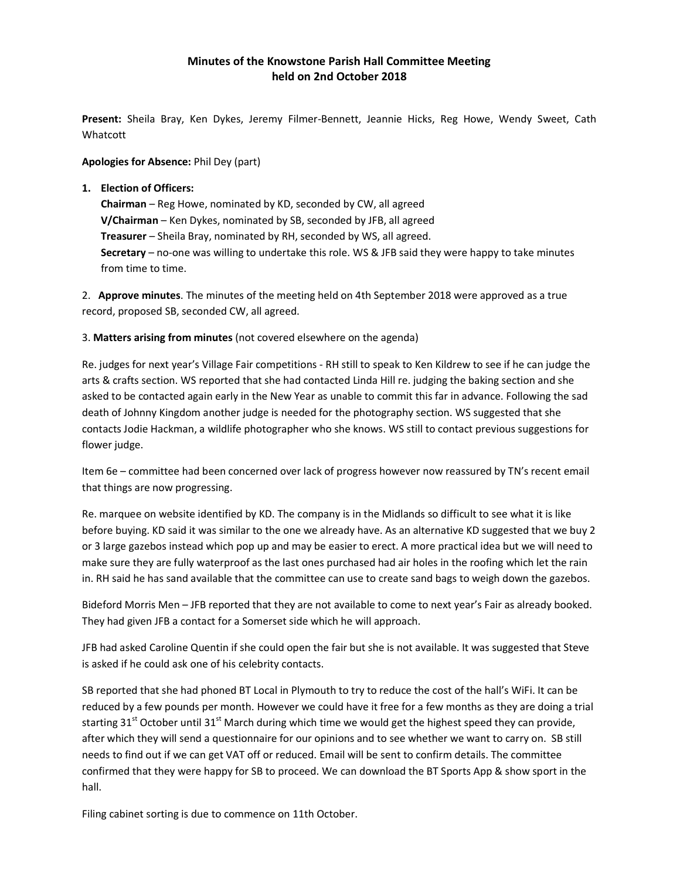# Minutes of the Knowstone Parish Hall Committee Meeting held on 2nd October 2018

Present: Sheila Bray, Ken Dykes, Jeremy Filmer-Bennett, Jeannie Hicks, Reg Howe, Wendy Sweet, Cath Whatcott

# Apologies for Absence: Phil Dey (part)

# 1. Election of Officers:

Chairman – Reg Howe, nominated by KD, seconded by CW, all agreed V/Chairman – Ken Dykes, nominated by SB, seconded by JFB, all agreed Treasurer – Sheila Bray, nominated by RH, seconded by WS, all agreed. Secretary – no-one was willing to undertake this role. WS & JFB said they were happy to take minutes from time to time.

2. Approve minutes. The minutes of the meeting held on 4th September 2018 were approved as a true record, proposed SB, seconded CW, all agreed.

3. Matters arising from minutes (not covered elsewhere on the agenda)

Re. judges for next year's Village Fair competitions - RH still to speak to Ken Kildrew to see if he can judge the arts & crafts section. WS reported that she had contacted Linda Hill re. judging the baking section and she asked to be contacted again early in the New Year as unable to commit this far in advance. Following the sad death of Johnny Kingdom another judge is needed for the photography section. WS suggested that she contacts Jodie Hackman, a wildlife photographer who she knows. WS still to contact previous suggestions for flower judge.

Item 6e – committee had been concerned over lack of progress however now reassured by TN's recent email that things are now progressing.

Re. marquee on website identified by KD. The company is in the Midlands so difficult to see what it is like before buying. KD said it was similar to the one we already have. As an alternative KD suggested that we buy 2 or 3 large gazebos instead which pop up and may be easier to erect. A more practical idea but we will need to make sure they are fully waterproof as the last ones purchased had air holes in the roofing which let the rain in. RH said he has sand available that the committee can use to create sand bags to weigh down the gazebos.

Bideford Morris Men – JFB reported that they are not available to come to next year's Fair as already booked. They had given JFB a contact for a Somerset side which he will approach.

JFB had asked Caroline Quentin if she could open the fair but she is not available. It was suggested that Steve is asked if he could ask one of his celebrity contacts.

SB reported that she had phoned BT Local in Plymouth to try to reduce the cost of the hall's WiFi. It can be reduced by a few pounds per month. However we could have it free for a few months as they are doing a trial starting 31<sup>st</sup> October until 31<sup>st</sup> March during which time we would get the highest speed they can provide, after which they will send a questionnaire for our opinions and to see whether we want to carry on. SB still needs to find out if we can get VAT off or reduced. Email will be sent to confirm details. The committee confirmed that they were happy for SB to proceed. We can download the BT Sports App & show sport in the hall.

Filing cabinet sorting is due to commence on 11th October.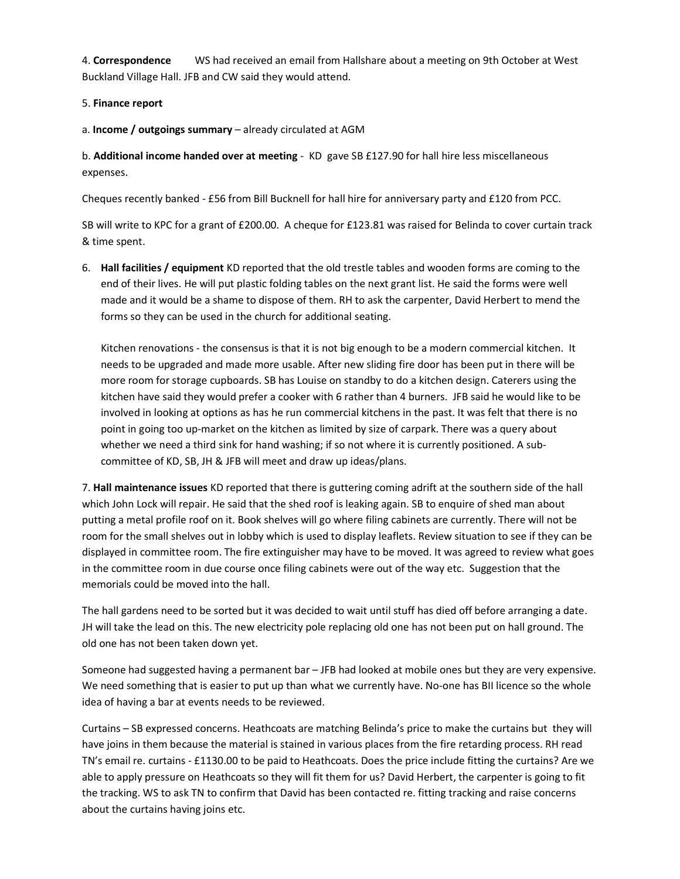4. Correspondence WS had received an email from Hallshare about a meeting on 9th October at West Buckland Village Hall. JFB and CW said they would attend.

# 5. Finance report

a. Income / outgoings summary – already circulated at AGM

b. Additional income handed over at meeting - KD gave SB £127.90 for hall hire less miscellaneous expenses.

Cheques recently banked - £56 from Bill Bucknell for hall hire for anniversary party and £120 from PCC.

SB will write to KPC for a grant of £200.00. A cheque for £123.81 was raised for Belinda to cover curtain track & time spent.

6. Hall facilities / equipment KD reported that the old trestle tables and wooden forms are coming to the end of their lives. He will put plastic folding tables on the next grant list. He said the forms were well made and it would be a shame to dispose of them. RH to ask the carpenter, David Herbert to mend the forms so they can be used in the church for additional seating.

Kitchen renovations - the consensus is that it is not big enough to be a modern commercial kitchen. It needs to be upgraded and made more usable. After new sliding fire door has been put in there will be more room for storage cupboards. SB has Louise on standby to do a kitchen design. Caterers using the kitchen have said they would prefer a cooker with 6 rather than 4 burners. JFB said he would like to be involved in looking at options as has he run commercial kitchens in the past. It was felt that there is no point in going too up-market on the kitchen as limited by size of carpark. There was a query about whether we need a third sink for hand washing; if so not where it is currently positioned. A subcommittee of KD, SB, JH & JFB will meet and draw up ideas/plans.

7. Hall maintenance issues KD reported that there is guttering coming adrift at the southern side of the hall which John Lock will repair. He said that the shed roof is leaking again. SB to enquire of shed man about putting a metal profile roof on it. Book shelves will go where filing cabinets are currently. There will not be room for the small shelves out in lobby which is used to display leaflets. Review situation to see if they can be displayed in committee room. The fire extinguisher may have to be moved. It was agreed to review what goes in the committee room in due course once filing cabinets were out of the way etc. Suggestion that the memorials could be moved into the hall.

The hall gardens need to be sorted but it was decided to wait until stuff has died off before arranging a date. JH will take the lead on this. The new electricity pole replacing old one has not been put on hall ground. The old one has not been taken down yet.

Someone had suggested having a permanent bar – JFB had looked at mobile ones but they are very expensive. We need something that is easier to put up than what we currently have. No-one has BII licence so the whole idea of having a bar at events needs to be reviewed.

Curtains – SB expressed concerns. Heathcoats are matching Belinda's price to make the curtains but they will have joins in them because the material is stained in various places from the fire retarding process. RH read TN's email re. curtains - £1130.00 to be paid to Heathcoats. Does the price include fitting the curtains? Are we able to apply pressure on Heathcoats so they will fit them for us? David Herbert, the carpenter is going to fit the tracking. WS to ask TN to confirm that David has been contacted re. fitting tracking and raise concerns about the curtains having joins etc.